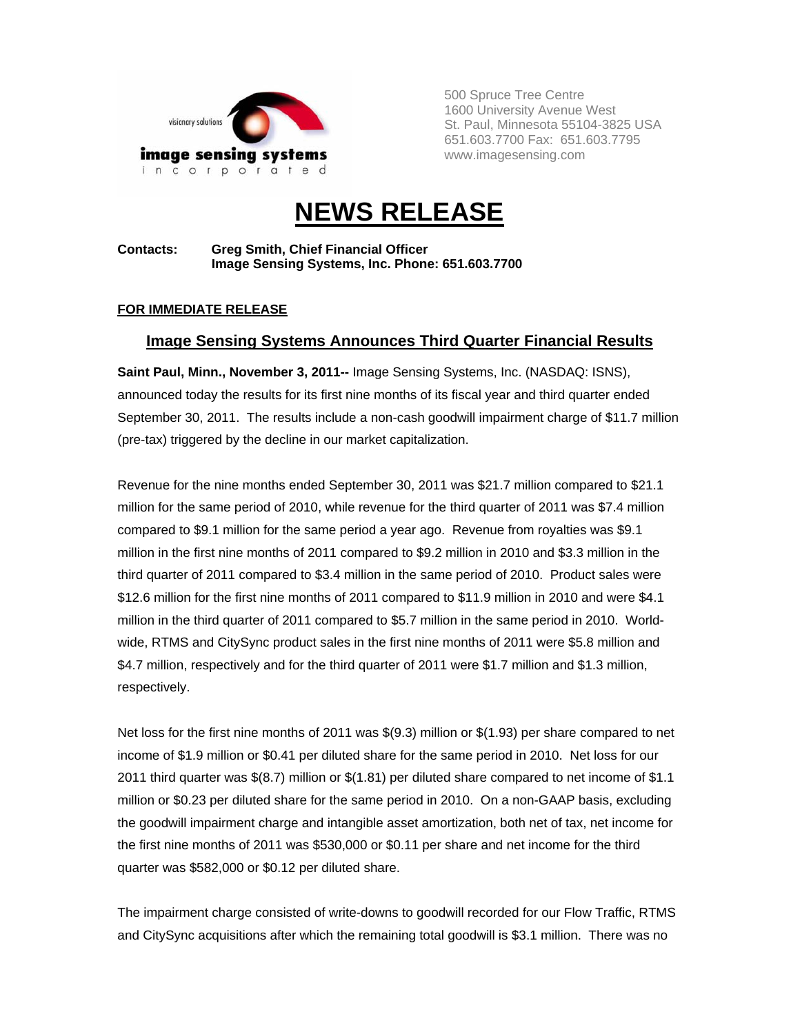

500 Spruce Tree Centre 1600 University Avenue West St. Paul, Minnesota 55104-3825 USA 651.603.7700 Fax: 651.603.7795 www.imagesensing.com

# **NEWS RELEASE**

**Contacts: Greg Smith, Chief Financial Officer Image Sensing Systems, Inc. Phone: 651.603.7700** 

### **FOR IMMEDIATE RELEASE**

## **Image Sensing Systems Announces Third Quarter Financial Results**

**Saint Paul, Minn., November 3, 2011--** Image Sensing Systems, Inc. (NASDAQ: ISNS), announced today the results for its first nine months of its fiscal year and third quarter ended September 30, 2011. The results include a non-cash goodwill impairment charge of \$11.7 million (pre-tax) triggered by the decline in our market capitalization.

Revenue for the nine months ended September 30, 2011 was \$21.7 million compared to \$21.1 million for the same period of 2010, while revenue for the third quarter of 2011 was \$7.4 million compared to \$9.1 million for the same period a year ago. Revenue from royalties was \$9.1 million in the first nine months of 2011 compared to \$9.2 million in 2010 and \$3.3 million in the third quarter of 2011 compared to \$3.4 million in the same period of 2010. Product sales were \$12.6 million for the first nine months of 2011 compared to \$11.9 million in 2010 and were \$4.1 million in the third quarter of 2011 compared to \$5.7 million in the same period in 2010. Worldwide, RTMS and CitySync product sales in the first nine months of 2011 were \$5.8 million and \$4.7 million, respectively and for the third quarter of 2011 were \$1.7 million and \$1.3 million, respectively.

Net loss for the first nine months of 2011 was \$(9.3) million or \$(1.93) per share compared to net income of \$1.9 million or \$0.41 per diluted share for the same period in 2010. Net loss for our 2011 third quarter was \$(8.7) million or \$(1.81) per diluted share compared to net income of \$1.1 million or \$0.23 per diluted share for the same period in 2010. On a non-GAAP basis, excluding the goodwill impairment charge and intangible asset amortization, both net of tax, net income for the first nine months of 2011 was \$530,000 or \$0.11 per share and net income for the third quarter was \$582,000 or \$0.12 per diluted share.

The impairment charge consisted of write-downs to goodwill recorded for our Flow Traffic, RTMS and CitySync acquisitions after which the remaining total goodwill is \$3.1 million. There was no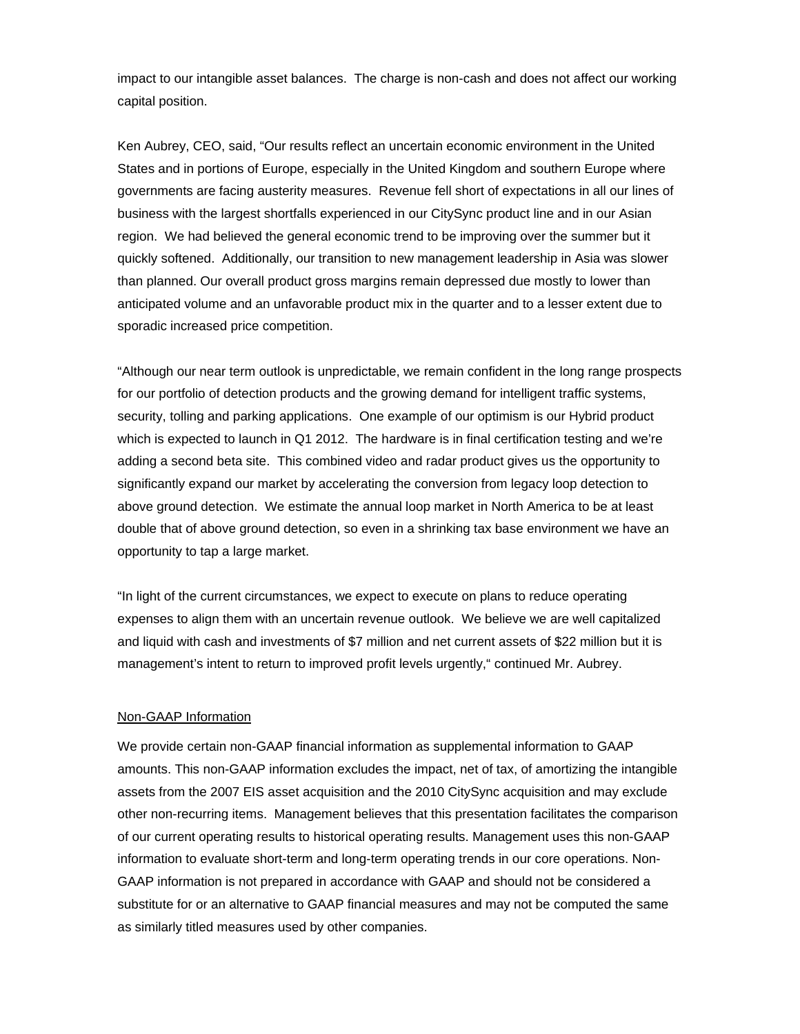impact to our intangible asset balances. The charge is non-cash and does not affect our working capital position.

Ken Aubrey, CEO, said, "Our results reflect an uncertain economic environment in the United States and in portions of Europe, especially in the United Kingdom and southern Europe where governments are facing austerity measures. Revenue fell short of expectations in all our lines of business with the largest shortfalls experienced in our CitySync product line and in our Asian region. We had believed the general economic trend to be improving over the summer but it quickly softened. Additionally, our transition to new management leadership in Asia was slower than planned. Our overall product gross margins remain depressed due mostly to lower than anticipated volume and an unfavorable product mix in the quarter and to a lesser extent due to sporadic increased price competition.

"Although our near term outlook is unpredictable, we remain confident in the long range prospects for our portfolio of detection products and the growing demand for intelligent traffic systems, security, tolling and parking applications. One example of our optimism is our Hybrid product which is expected to launch in Q1 2012. The hardware is in final certification testing and we're adding a second beta site. This combined video and radar product gives us the opportunity to significantly expand our market by accelerating the conversion from legacy loop detection to above ground detection. We estimate the annual loop market in North America to be at least double that of above ground detection, so even in a shrinking tax base environment we have an opportunity to tap a large market.

"In light of the current circumstances, we expect to execute on plans to reduce operating expenses to align them with an uncertain revenue outlook. We believe we are well capitalized and liquid with cash and investments of \$7 million and net current assets of \$22 million but it is management's intent to return to improved profit levels urgently," continued Mr. Aubrey.

#### Non-GAAP Information

We provide certain non-GAAP financial information as supplemental information to GAAP amounts. This non-GAAP information excludes the impact, net of tax, of amortizing the intangible assets from the 2007 EIS asset acquisition and the 2010 CitySync acquisition and may exclude other non-recurring items. Management believes that this presentation facilitates the comparison of our current operating results to historical operating results. Management uses this non-GAAP information to evaluate short-term and long-term operating trends in our core operations. Non-GAAP information is not prepared in accordance with GAAP and should not be considered a substitute for or an alternative to GAAP financial measures and may not be computed the same as similarly titled measures used by other companies.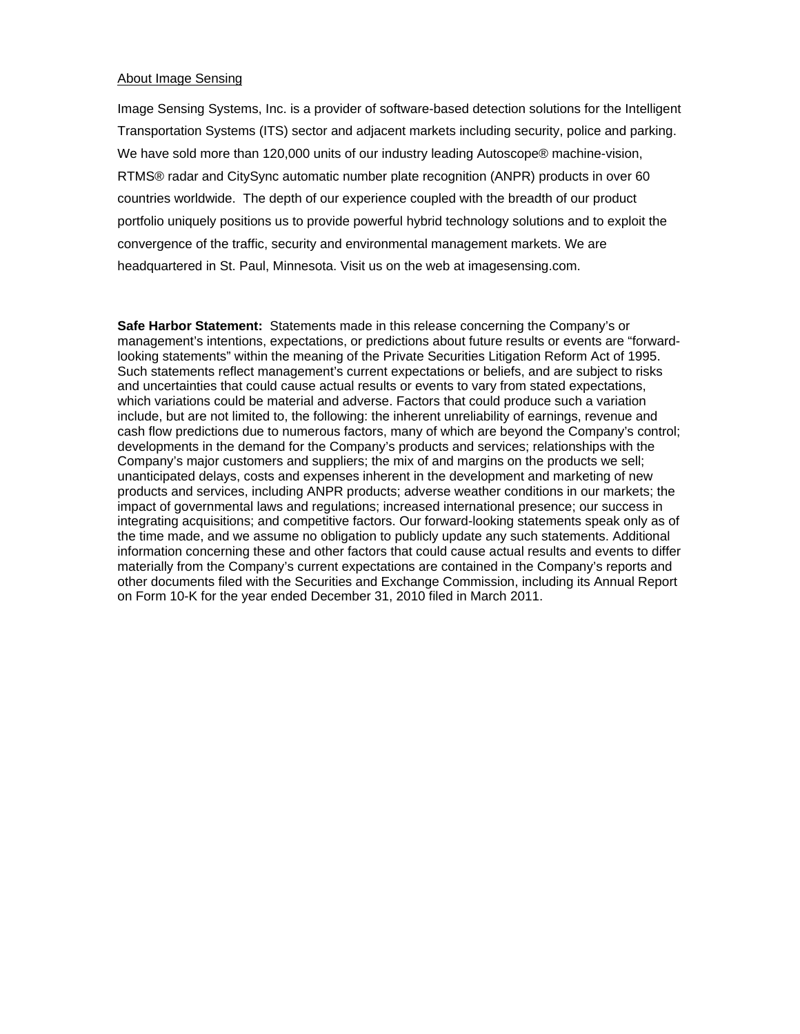### About Image Sensing

Image Sensing Systems, Inc. is a provider of software-based detection solutions for the Intelligent Transportation Systems (ITS) sector and adjacent markets including security, police and parking. We have sold more than 120,000 units of our industry leading Autoscope® machine-vision, RTMS® radar and CitySync automatic number plate recognition (ANPR) products in over 60 countries worldwide. The depth of our experience coupled with the breadth of our product portfolio uniquely positions us to provide powerful hybrid technology solutions and to exploit the convergence of the traffic, security and environmental management markets. We are headquartered in St. Paul, Minnesota. Visit us on the web at imagesensing.com.

**Safe Harbor Statement:** Statements made in this release concerning the Company's or management's intentions, expectations, or predictions about future results or events are "forwardlooking statements" within the meaning of the Private Securities Litigation Reform Act of 1995. Such statements reflect management's current expectations or beliefs, and are subject to risks and uncertainties that could cause actual results or events to vary from stated expectations, which variations could be material and adverse. Factors that could produce such a variation include, but are not limited to, the following: the inherent unreliability of earnings, revenue and cash flow predictions due to numerous factors, many of which are beyond the Company's control; developments in the demand for the Company's products and services; relationships with the Company's major customers and suppliers; the mix of and margins on the products we sell; unanticipated delays, costs and expenses inherent in the development and marketing of new products and services, including ANPR products; adverse weather conditions in our markets; the impact of governmental laws and regulations; increased international presence; our success in integrating acquisitions; and competitive factors. Our forward-looking statements speak only as of the time made, and we assume no obligation to publicly update any such statements. Additional information concerning these and other factors that could cause actual results and events to differ materially from the Company's current expectations are contained in the Company's reports and other documents filed with the Securities and Exchange Commission, including its Annual Report on Form 10-K for the year ended December 31, 2010 filed in March 2011.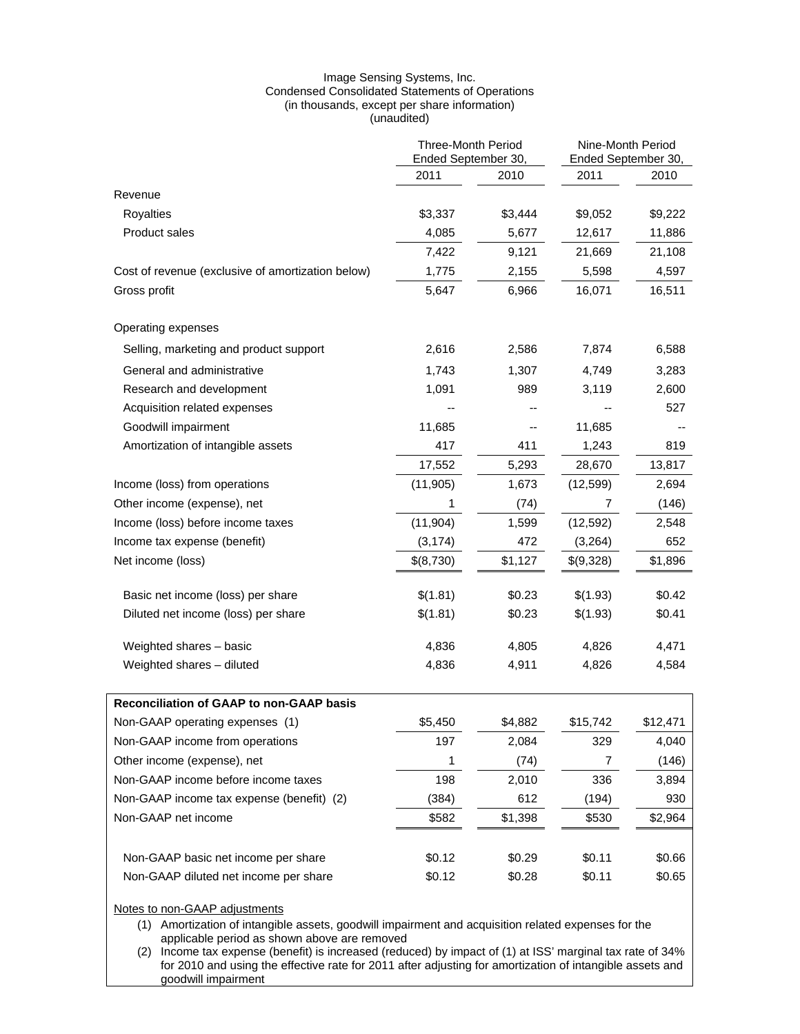#### Image Sensing Systems, Inc. Condensed Consolidated Statements of Operations (in thousands, except per share information) (unaudited)

|                                                                                                                                      | <b>Three-Month Period</b><br>Ended September 30, |         | Nine-Month Period<br>Ended September 30, |          |
|--------------------------------------------------------------------------------------------------------------------------------------|--------------------------------------------------|---------|------------------------------------------|----------|
|                                                                                                                                      | 2011                                             | 2010    | 2011                                     | 2010     |
| Revenue                                                                                                                              |                                                  |         |                                          |          |
| Royalties                                                                                                                            | \$3,337                                          | \$3,444 | \$9,052                                  | \$9,222  |
| <b>Product sales</b>                                                                                                                 | 4,085                                            | 5,677   | 12,617                                   | 11,886   |
|                                                                                                                                      | 7,422                                            | 9,121   | 21,669                                   | 21,108   |
| Cost of revenue (exclusive of amortization below)                                                                                    | 1,775                                            | 2,155   | 5,598                                    | 4,597    |
| Gross profit                                                                                                                         | 5,647                                            | 6,966   | 16,071                                   | 16,511   |
| Operating expenses                                                                                                                   |                                                  |         |                                          |          |
| Selling, marketing and product support                                                                                               | 2,616                                            | 2,586   | 7,874                                    | 6,588    |
| General and administrative                                                                                                           | 1,743                                            | 1,307   | 4,749                                    | 3,283    |
| Research and development                                                                                                             | 1,091                                            | 989     | 3,119                                    | 2,600    |
| Acquisition related expenses                                                                                                         |                                                  |         |                                          | 527      |
| Goodwill impairment                                                                                                                  | 11,685                                           |         | 11,685                                   |          |
| Amortization of intangible assets                                                                                                    | 417                                              | 411     | 1,243                                    | 819      |
|                                                                                                                                      | 17,552                                           | 5,293   | 28,670                                   | 13,817   |
| Income (loss) from operations                                                                                                        | (11, 905)                                        | 1,673   | (12, 599)                                | 2,694    |
| Other income (expense), net                                                                                                          | 1                                                | (74)    | 7                                        | (146)    |
| Income (loss) before income taxes                                                                                                    | (11, 904)                                        | 1,599   | (12, 592)                                | 2,548    |
| Income tax expense (benefit)                                                                                                         | (3, 174)                                         | 472     | (3,264)                                  | 652      |
| Net income (loss)                                                                                                                    | \$(8,730)                                        | \$1,127 | \$(9,328)                                | \$1,896  |
| Basic net income (loss) per share                                                                                                    | \$(1.81)                                         | \$0.23  | \$(1.93)                                 | \$0.42   |
| Diluted net income (loss) per share                                                                                                  | \$(1.81)                                         | \$0.23  | \$(1.93)                                 | \$0.41   |
| Weighted shares - basic                                                                                                              | 4,836                                            | 4,805   | 4,826                                    | 4,471    |
| Weighted shares - diluted                                                                                                            | 4,836                                            | 4,911   | 4,826                                    | 4,584    |
| Reconciliation of GAAP to non-GAAP basis                                                                                             |                                                  |         |                                          |          |
| Non-GAAP operating expenses (1)                                                                                                      | \$5,450                                          | \$4,882 | \$15,742                                 | \$12,471 |
| Non-GAAP income from operations                                                                                                      | 197                                              | 2,084   | 329                                      | 4,040    |
| Other income (expense), net                                                                                                          | 1                                                | (74)    | 7                                        | (146)    |
| Non-GAAP income before income taxes                                                                                                  | 198                                              | 2,010   | 336                                      | 3,894    |
| Non-GAAP income tax expense (benefit) (2)                                                                                            | (384)                                            | 612     | (194)                                    | 930      |
| Non-GAAP net income                                                                                                                  | \$582                                            | \$1,398 | \$530                                    | \$2,964  |
| Non-GAAP basic net income per share                                                                                                  | \$0.12                                           | \$0.29  | \$0.11                                   | \$0.66   |
| Non-GAAP diluted net income per share                                                                                                | \$0.12                                           | \$0.28  | \$0.11                                   | \$0.65   |
| Notes to non-GAAP adjustments<br>(1) Amortization of intangible assets, goodwill impairment and acquisition related expenses for the |                                                  |         |                                          |          |

applicable period as shown above are removed

(2) Income tax expense (benefit) is increased (reduced) by impact of (1) at ISS' marginal tax rate of 34% for 2010 and using the effective rate for 2011 after adjusting for amortization of intangible assets and goodwill impairment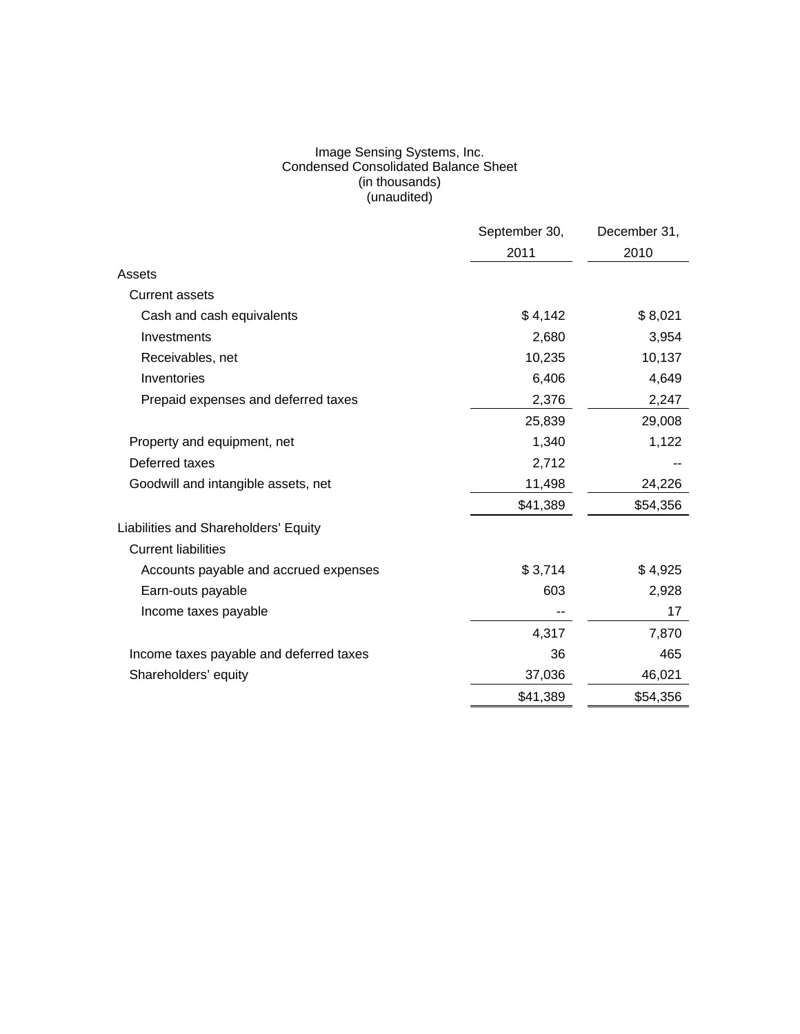#### Image Sensing Systems, Inc. Condensed Consolidated Balance Sheet (in thousands) (unaudited)

|                                         | September 30, | December 31, |
|-----------------------------------------|---------------|--------------|
|                                         | 2011          | 2010         |
| Assets                                  |               |              |
| <b>Current assets</b>                   |               |              |
| Cash and cash equivalents               | \$4,142       | \$8,021      |
| Investments                             | 2,680         | 3,954        |
| Receivables, net                        | 10,235        | 10,137       |
| Inventories                             | 6,406         | 4,649        |
| Prepaid expenses and deferred taxes     | 2,376         | 2,247        |
|                                         | 25,839        | 29,008       |
| Property and equipment, net             | 1,340         | 1,122        |
| Deferred taxes                          | 2,712         |              |
| Goodwill and intangible assets, net     | 11,498        | 24,226       |
|                                         | \$41,389      | \$54,356     |
| Liabilities and Shareholders' Equity    |               |              |
| <b>Current liabilities</b>              |               |              |
| Accounts payable and accrued expenses   | \$3,714       | \$4,925      |
| Earn-outs payable                       | 603           | 2,928        |
| Income taxes payable                    |               | 17           |
|                                         | 4,317         | 7,870        |
| Income taxes payable and deferred taxes | 36            | 465          |
| Shareholders' equity                    | 37,036        | 46,021       |
|                                         | \$41,389      | \$54,356     |